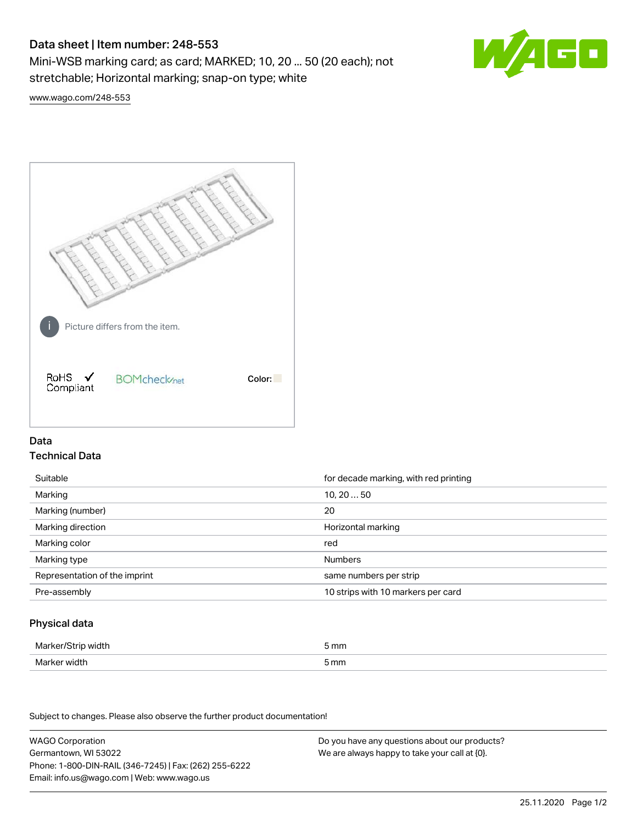# Data sheet | Item number: 248-553

Mini-WSB marking card; as card; MARKED; 10, 20 ... 50 (20 each); not stretchable; Horizontal marking; snap-on type; white



[www.wago.com/248-553](http://www.wago.com/248-553)



## Data Technical Data

| Suitable                      | for decade marking, with red printing |
|-------------------------------|---------------------------------------|
| Marking                       | 10, 2050                              |
| Marking (number)              | 20                                    |
| Marking direction             | Horizontal marking                    |
| Marking color                 | red                                   |
| Marking type                  | <b>Numbers</b>                        |
| Representation of the imprint | same numbers per strip                |
| Pre-assembly                  | 10 strips with 10 markers per card    |

## Physical data

| Marker/Strip width | i mm<br>$-$ |
|--------------------|-------------|
| Marker width       | 5 mm        |

Subject to changes. Please also observe the further product documentation!

WAGO Corporation Germantown, WI 53022 Phone: 1-800-DIN-RAIL (346-7245) | Fax: (262) 255-6222 Email: info.us@wago.com | Web: www.wago.us Do you have any questions about our products? We are always happy to take your call at {0}.